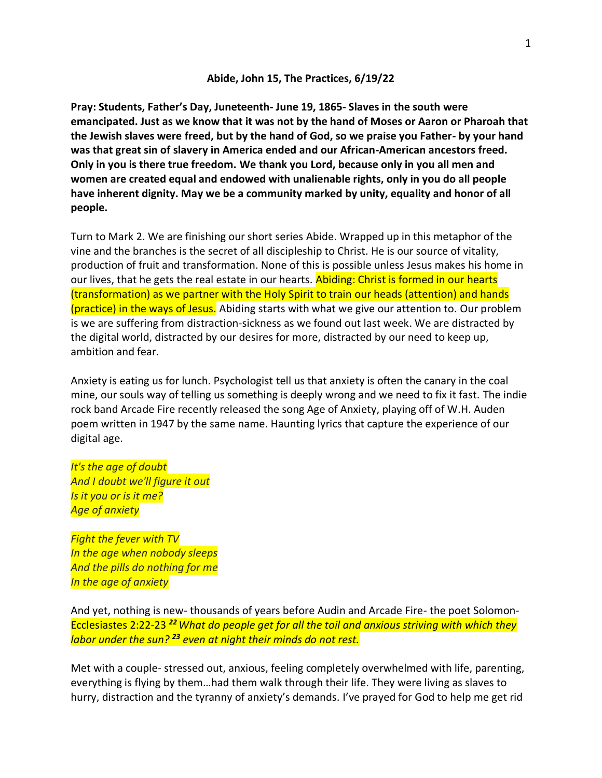## **Abide, John 15, The Practices, 6/19/22**

**Pray: Students, Father's Day, Juneteenth- June 19, 1865- Slaves in the south were emancipated. Just as we know that it was not by the hand of Moses or Aaron or Pharoah that the Jewish slaves were freed, but by the hand of God, so we praise you Father- by your hand was that great sin of slavery in America ended and our African-American ancestors freed. Only in you is there true freedom. We thank you Lord, because only in you all men and women are created equal and endowed with unalienable rights, only in you do all people have inherent dignity. May we be a community marked by unity, equality and honor of all people.**

Turn to Mark 2. We are finishing our short series Abide. Wrapped up in this metaphor of the vine and the branches is the secret of all discipleship to Christ. He is our source of vitality, production of fruit and transformation. None of this is possible unless Jesus makes his home in our lives, that he gets the real estate in our hearts. Abiding: Christ is formed in our hearts (transformation) as we partner with the Holy Spirit to train our heads (attention) and hands (practice) in the ways of Jesus. Abiding starts with what we give our attention to. Our problem is we are suffering from distraction-sickness as we found out last week. We are distracted by the digital world, distracted by our desires for more, distracted by our need to keep up, ambition and fear.

Anxiety is eating us for lunch. Psychologist tell us that anxiety is often the canary in the coal mine, our souls way of telling us something is deeply wrong and we need to fix it fast. The indie rock band Arcade Fire recently released the song Age of Anxiety, playing off of W.H. Auden poem written in 1947 by the same name. Haunting lyrics that capture the experience of our digital age.

*It's the age of doubt And I doubt we'll figure it out Is it you or is it me? Age of anxiety*

*Fight the fever with TV In the age when nobody sleeps And the pills do nothing for me In the age of anxiety*

And yet, nothing is new- thousands of years before Audin and Arcade Fire- the poet Solomon-Ecclesiastes 2:22-23 *<sup>22</sup>What do people get for all the toil and anxious striving with which they labor under the sun? <sup>23</sup> even at night their minds do not rest.*

Met with a couple- stressed out, anxious, feeling completely overwhelmed with life, parenting, everything is flying by them…had them walk through their life. They were living as slaves to hurry, distraction and the tyranny of anxiety's demands. I've prayed for God to help me get rid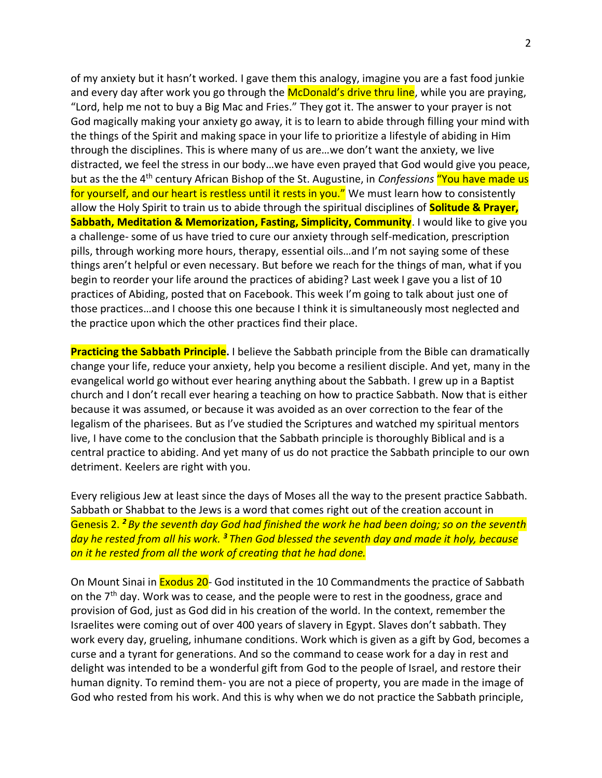of my anxiety but it hasn't worked. I gave them this analogy, imagine you are a fast food junkie and every day after work you go through the McDonald's drive thru line, while you are praying, "Lord, help me not to buy a Big Mac and Fries." They got it. The answer to your prayer is not God magically making your anxiety go away, it is to learn to abide through filling your mind with the things of the Spirit and making space in your life to prioritize a lifestyle of abiding in Him through the disciplines. This is where many of us are…we don't want the anxiety, we live distracted, we feel the stress in our body…we have even prayed that God would give you peace, but as the the 4th century African Bishop of the St. Augustine, in *Confessions* "You have made us for yourself, and our heart is restless until it rests in you." We must learn how to consistently allow the Holy Spirit to train us to abide through the spiritual disciplines of **Solitude & Prayer, Sabbath, Meditation & Memorization, Fasting, Simplicity, Community.** I would like to give you a challenge- some of us have tried to cure our anxiety through self-medication, prescription pills, through working more hours, therapy, essential oils…and I'm not saying some of these things aren't helpful or even necessary. But before we reach for the things of man, what if you begin to reorder your life around the practices of abiding? Last week I gave you a list of 10 practices of Abiding, posted that on Facebook. This week I'm going to talk about just one of those practices…and I choose this one because I think it is simultaneously most neglected and the practice upon which the other practices find their place.

**Practicing the Sabbath Principle.** I believe the Sabbath principle from the Bible can dramatically change your life, reduce your anxiety, help you become a resilient disciple. And yet, many in the evangelical world go without ever hearing anything about the Sabbath. I grew up in a Baptist church and I don't recall ever hearing a teaching on how to practice Sabbath. Now that is either because it was assumed, or because it was avoided as an over correction to the fear of the legalism of the pharisees. But as I've studied the Scriptures and watched my spiritual mentors live, I have come to the conclusion that the Sabbath principle is thoroughly Biblical and is a central practice to abiding. And yet many of us do not practice the Sabbath principle to our own detriment. Keelers are right with you.

Every religious Jew at least since the days of Moses all the way to the present practice Sabbath. Sabbath or Shabbat to the Jews is a word that comes right out of the creation account in Genesis 2. *<sup>2</sup> By the seventh day God had finished the work he had been doing; so on the seventh day he rested from all his work. <sup>3</sup> Then God blessed the seventh day and made it holy, because on it he rested from all the work of creating that he had done.*

On Mount Sinai in **Exodus 20-** God instituted in the 10 Commandments the practice of Sabbath on the  $7<sup>th</sup>$  day. Work was to cease, and the people were to rest in the goodness, grace and provision of God, just as God did in his creation of the world. In the context, remember the Israelites were coming out of over 400 years of slavery in Egypt. Slaves don't sabbath. They work every day, grueling, inhumane conditions. Work which is given as a gift by God, becomes a curse and a tyrant for generations. And so the command to cease work for a day in rest and delight was intended to be a wonderful gift from God to the people of Israel, and restore their human dignity. To remind them- you are not a piece of property, you are made in the image of God who rested from his work. And this is why when we do not practice the Sabbath principle,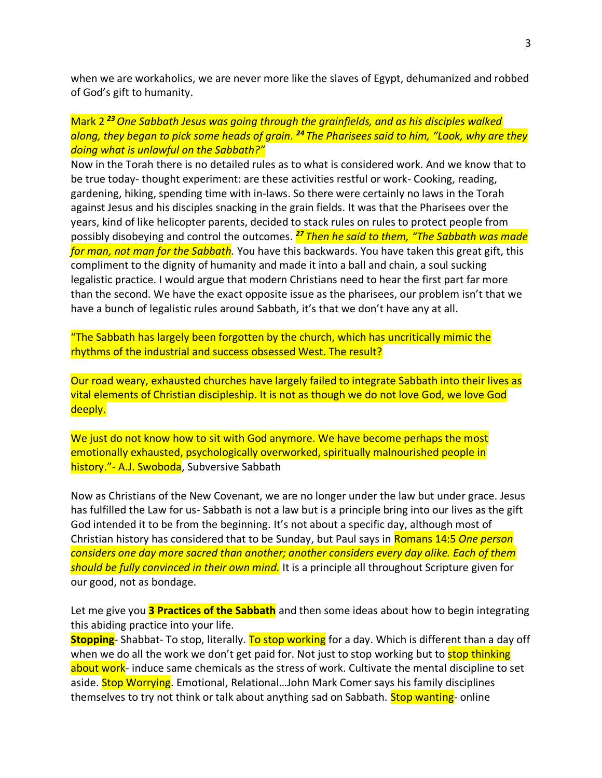when we are workaholics, we are never more like the slaves of Egypt, dehumanized and robbed of God's gift to humanity.

## Mark 2 *<sup>23</sup>One Sabbath Jesus was going through the grainfields, and as his disciples walked along, they began to pick some heads of grain. <sup>24</sup> The Pharisees said to him, "Look, why are they doing what is unlawful on the Sabbath?"*

Now in the Torah there is no detailed rules as to what is considered work. And we know that to be true today- thought experiment: are these activities restful or work- Cooking, reading, gardening, hiking, spending time with in-laws. So there were certainly no laws in the Torah against Jesus and his disciples snacking in the grain fields. It was that the Pharisees over the years, kind of like helicopter parents, decided to stack rules on rules to protect people from possibly disobeying and control the outcomes. *<sup>27</sup> Then he said to them, "The Sabbath was made for man, not man for the Sabbath.* You have this backwards. You have taken this great gift, this compliment to the dignity of humanity and made it into a ball and chain, a soul sucking legalistic practice. I would argue that modern Christians need to hear the first part far more than the second. We have the exact opposite issue as the pharisees, our problem isn't that we have a bunch of legalistic rules around Sabbath, it's that we don't have any at all.

"The Sabbath has largely been forgotten by the church, which has uncritically mimic the rhythms of the industrial and success obsessed West. The result?

Our road weary, exhausted churches have largely failed to integrate Sabbath into their lives as vital elements of Christian discipleship. It is not as though we do not love God, we love God deeply.

We just do not know how to sit with God anymore. We have become perhaps the most emotionally exhausted, psychologically overworked, spiritually malnourished people in history." - A.J. Swoboda, Subversive Sabbath

Now as Christians of the New Covenant, we are no longer under the law but under grace. Jesus has fulfilled the Law for us- Sabbath is not a law but is a principle bring into our lives as the gift God intended it to be from the beginning. It's not about a specific day, although most of Christian history has considered that to be Sunday, but Paul says in Romans 14:5 *One person considers one day more sacred than another; another considers every day alike. Each of them should be fully convinced in their own mind.* It is a principle all throughout Scripture given for our good, not as bondage.

Let me give you **3 Practices of the Sabbath** and then some ideas about how to begin integrating this abiding practice into your life.

**Stopping**- Shabbat- To stop, literally. To stop working for a day. Which is different than a day off when we do all the work we don't get paid for. Not just to stop working but to stop thinking about work- induce same chemicals as the stress of work. Cultivate the mental discipline to set aside. Stop Worrying. Emotional, Relational...John Mark Comer says his family disciplines themselves to try not think or talk about anything sad on Sabbath. Stop wanting- online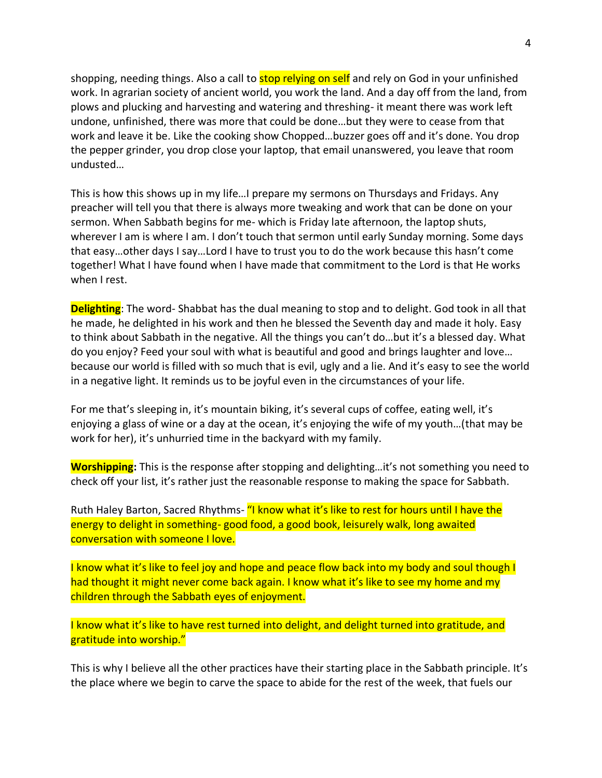shopping, needing things. Also a call to **stop relying on self** and rely on God in your unfinished work. In agrarian society of ancient world, you work the land. And a day off from the land, from plows and plucking and harvesting and watering and threshing- it meant there was work left undone, unfinished, there was more that could be done…but they were to cease from that work and leave it be. Like the cooking show Chopped…buzzer goes off and it's done. You drop the pepper grinder, you drop close your laptop, that email unanswered, you leave that room undusted…

This is how this shows up in my life…I prepare my sermons on Thursdays and Fridays. Any preacher will tell you that there is always more tweaking and work that can be done on your sermon. When Sabbath begins for me- which is Friday late afternoon, the laptop shuts, wherever I am is where I am. I don't touch that sermon until early Sunday morning. Some days that easy…other days I say…Lord I have to trust you to do the work because this hasn't come together! What I have found when I have made that commitment to the Lord is that He works when I rest.

**Delighting**: The word- Shabbat has the dual meaning to stop and to delight. God took in all that he made, he delighted in his work and then he blessed the Seventh day and made it holy. Easy to think about Sabbath in the negative. All the things you can't do…but it's a blessed day. What do you enjoy? Feed your soul with what is beautiful and good and brings laughter and love… because our world is filled with so much that is evil, ugly and a lie. And it's easy to see the world in a negative light. It reminds us to be joyful even in the circumstances of your life.

For me that's sleeping in, it's mountain biking, it's several cups of coffee, eating well, it's enjoying a glass of wine or a day at the ocean, it's enjoying the wife of my youth…(that may be work for her), it's unhurried time in the backyard with my family.

**Worshipping:** This is the response after stopping and delighting…it's not something you need to check off your list, it's rather just the reasonable response to making the space for Sabbath.

Ruth Haley Barton, Sacred Rhythms- "I know what it's like to rest for hours until I have the energy to delight in something- good food, a good book, leisurely walk, long awaited conversation with someone I love.

I know what it's like to feel joy and hope and peace flow back into my body and soul though I had thought it might never come back again. I know what it's like to see my home and my children through the Sabbath eyes of enjoyment.

I know what it's like to have rest turned into delight, and delight turned into gratitude, and gratitude into worship."

This is why I believe all the other practices have their starting place in the Sabbath principle. It's the place where we begin to carve the space to abide for the rest of the week, that fuels our